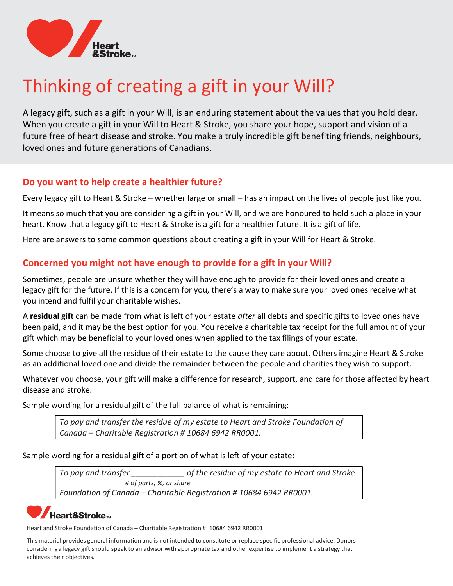

# Thinking of creating a gift in your Will?

A legacy gift, such as a gift in your Will, is an enduring statement about the values that you hold dear. When you create a gift in your Will to Heart & Stroke, you share your hope, support and vision of a future free of heart disease and stroke. You make a truly incredible gift benefiting friends, neighbours, loved ones and future generations of Canadians.

#### Do you want to help create a healthier future?

Every legacy gift to Heart & Stroke – whether large or small – has an impact on the lives of people just like you.

It means so much that you are considering a gift in your Will, and we are honoured to hold such a place in your heart. Know that a legacy gift to Heart & Stroke is a gift for a healthier future. It is a gift of life.

Here are answers to some common questions about creating a gift in your Will for Heart & Stroke.

#### Concerned you might not have enough to provide for a gift in your Will?

Sometimes, people are unsure whether they will have enough to provide for their loved ones and create a legacy gift for the future. If this is a concern for you, there's a way to make sure your loved ones receive what you intend and fulfil your charitable wishes.

A residual gift can be made from what is left of your estate *after* all debts and specific gifts to loved ones have been paid, and it may be the best option for you. You receive a charitable tax receipt for the full amount of your gift which may be beneficial to your loved ones when applied to the tax filings of your estate.

Some choose to give all the residue of their estate to the cause they care about. Others imagine Heart & Stroke as an additional loved one and divide the remainder between the people and charities they wish to support.

Whatever you choose, your gift will make a difference for research, support, and care for those affected by heart disease and stroke.

Sample wording for a residual gift of the full balance of what is remaining:

To pay and transfer the residue of my estate to Heart and Stroke Foundation of Canada – Charitable Registration # 10684 6942 RR0001.

Sample wording for a residual gift of a portion of what is left of your estate:

To pay and transfer \_\_\_\_\_\_\_\_\_\_\_\_ of the residue of my estate to Heart and Stroke # of parts, %, or share Foundation of Canada – Charitable Registration # 10684 6942 RR0001.

# Heart&Stroke…

Heart and Stroke Foundation of Canada – Charitable Registration #: 10684 6942 RR0001

This material provides general information and is not intended to constitute or replace specific professional advice. Donors considering a legacy gift should speak to an advisor with appropriate tax and other expertise to implement a strategy that achieves their objectives.